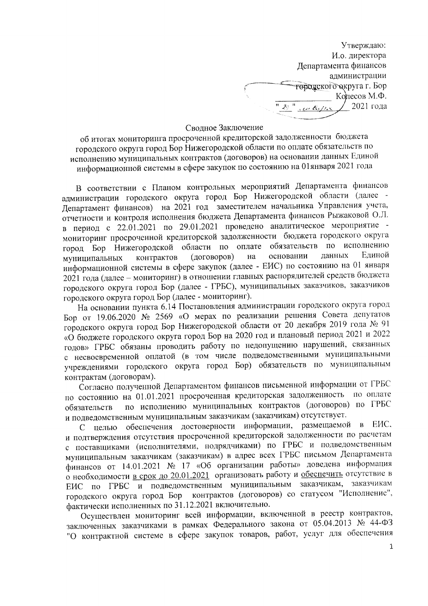Утверждаю: И.о. директора Департамента финансов администрации төрдүскөгө округа г. Бор Колесов М.Ф. 2021 года au tum

## Сводное Заключение

об итогах мониторинга просроченной кредиторской задолженности бюджета городского округа город Бор Нижегородской области по оплате обязательств по исполнению муниципальных контрактов (договоров) на основании данных Единой информационной системы в сфере закупок по состоянию на 01января 2021 года

В соответствии с Планом контрольных мероприятий Департамента финансов администрации городского округа город Бор Нижегородской области (далее -Департамент финансов) на 2021 год заместителем начальника Управления учета, отчетности и контроля исполнения бюджета Департамента финансов Рыжаковой О.Л. в период с 22.01.2021 по 29.01.2021 проведено аналитическое мероприятие мониторинг просроченной кредиторской задолженности бюджета городского округа город Бор Нижегородской области по обязательств по исполнению оплате данных Елиной основании контрактов (договоров) на муниципальных информационной системы в сфере закупок (далее - ЕИС) по состоянию на 01 января 2021 года (далее - мониторинг) в отношении главных распорядителей средств бюджета городского округа город Бор (далее - ГРБС), муниципальных заказчиков, заказчиков городского округа город Бор (далее - мониторинг).

На основании пункта 6.14 Постановления администрации городского округа город Бор от 19.06.2020 № 2569 «О мерах по реализации решения Совета депутатов городского округа город Бор Нижегородской области от 20 декабря 2019 года № 91 «О бюджете городского округа город Бор на 2020 год и плановый период 2021 и 2022 годов» ГРБС обязаны проводить работу по недопущению нарушений, связанных с несвоевременной оплатой (в том числе подведомственными муниципальными учреждениями городского округа город Бор) обязательств по муниципальным контрактам (договорам).

Согласно полученной Департаментом финансов письменной информации от ГРБС по состоянию на 01.01.2021 просроченная кредиторская задолженность по оплате по исполнению муниципальных контрактов (договоров) по ГРБС обязательств и подведомственным муниципальным заказчикам (заказчикам) отсутствует.

целью обеспечения достоверности информации, размещаемой EИC.  $\overline{B}$  $\mathsf{C}^$ и подтверждения отсутствия просроченной кредиторской задолженности по расчетам с поставщиками (исполнителями, подрядчиками) по ГРБС и подведомственным муниципальным заказчикам (заказчикам) в адрес всех ГРБС письмом Департамента финансов от 14.01.2021 № 17 «Об организации работы» доведена информация о необходимости в срок до 20.01.2021 организовать работу и обеспечить отсутствие в ЕИС по ГРБС и подведомственным муниципальным заказчикам, заказчикам городского округа город Бор контрактов (договоров) со статусом "Исполнение", фактически исполненных по 31.12.2021 включительно.

Осуществлен мониторинг всей информации, включенной в реестр контрактов, заключенных заказчиками в рамках Федерального закона от 05.04.2013 № 44-ФЗ "О контрактной системе в сфере закупок товаров, работ, услуг для обеспечения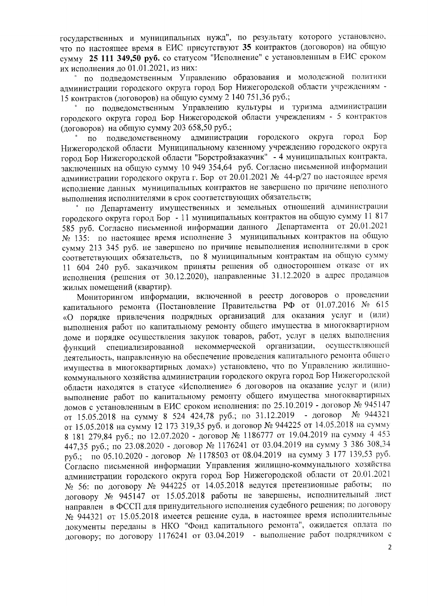государственных и муниципальных нужд", по результату которого установлено, что по настоящее время в ЕИС присутствуют 35 контрактов (договоров) на общую сумму 25 111 349,50 руб. со статусом "Исполнение" с установленным в ЕИС сроком их исполнения до 01.01.2021, из них:

по подведомственным Управлению образования и молодежной политики администрации городского округа город Бор Нижегородской области учреждениям -15 контрактов (договоров) на общую сумму 2 140 751,36 руб.;

по подведомственным Управлению культуры и туризма администрации городского округа город Бор Нижегородской области учреждениям - 5 контрактов (договоров) на общую сумму 203 658,50 руб.;

администрации **Bop** городского округа город  $\overline{10}$ подведомственному Нижегородской области Муниципальному казенному учреждению городского округа город Бор Нижегородской области "Борстройзаказчик" - 4 муниципальных контракта, заключенных на общую сумму 10 949 354,64 руб. Согласно письменной информации администрации городского округа г. Бор от 20.01.2021 № 44-р/27 по настоящее время исполнение данных муниципальных контрактов не завершено по причине неполного выполнения исполнителями в срок соответствующих обязательств;

по Департаменту имущественных и земельных отношений администрации городского округа город Бор - 11 муниципальных контрактов на общую сумму 11 817 585 руб. Согласно письменной информации данного Департамента от 20.01.2021 № 135: по настоящее время исполнение 3 муниципальных контрактов на общую сумму 213 345 руб. не завершено по причине невыполнения исполнителями в срок соответствующих обязательств, по 8 муниципальным контрактам на общую сумму 11 604 240 руб. заказчиком приняты решения об одностороннем отказе от их исполнения (решения от 30.12.2020), направленные 31.12.2020 в адрес продавцов жилых помещений (квартир).

Мониторингом информации, включенной в реестр договоров о проведении капитального ремонта (Постановление Правительства РФ от 01.07.2016 № 615 «О порядке привлечения подрядных организаций для оказания услуг и (или) выполнения работ по капитальному ремонту общего имущества в многоквартирном доме и порядке осуществления закупок товаров, работ, услуг в целях выполнения некоммерческой организации, осуществляющей специализированной функций деятельность, направленную на обеспечение проведения капитального ремонта общего имущества в многоквартирных домах») установлено, что по Управлению жилищнокоммунального хозяйства администрации городского округа город Бор Нижегородской области находятся в статусе «Исполнение» 6 договоров на оказание услуг и (или) выполнение работ по капитальному ремонту общего имущества многоквартирных домов с установленным в ЕИС сроком исполнения: по 25.10.2019 - договор № 945147 от 15.05.2018 на сумму 8 524 424,78 руб.; по 31.12.2019 - договор № 944321 от 15.05.2018 на сумму 12 173 319,35 руб. и договор № 944225 от 14.05.2018 на сумму 8 181 279,84 руб.; по 12.07.2020 - договор № 1186777 от 19.04.2019 на сумму 4 453 447,35 руб.; по 23.08.2020 - договор № 1176241 от 03.04.2019 на сумму 3 386 308,34 руб.; по 05.10.2020 - договор № 1178503 от 08.04.2019 на сумму 3 177 139,53 руб. Согласно письменной информации Управления жилищно-коммунального хозяйства администрации городского округа город Бор Нижегородской области от 20.01.2021  $N_2$  56: по договору  $N_2$  944225 от 14.05.2018 ведутся претензионные работы;  $\overline{10}$ договору № 945147 от 15.05.2018 работы не завершены, исполнительный лист направлен в ФССП для принудительного исполнения судебного решения; по договору № 944321 от 15.05.2018 имеется решение суда, в настоящее время исполнительные документы переданы в НКО "Фонд капитального ремонта", ожидается оплата по договору; по договору 1176241 от 03.04.2019 - выполнение работ подрядчиком с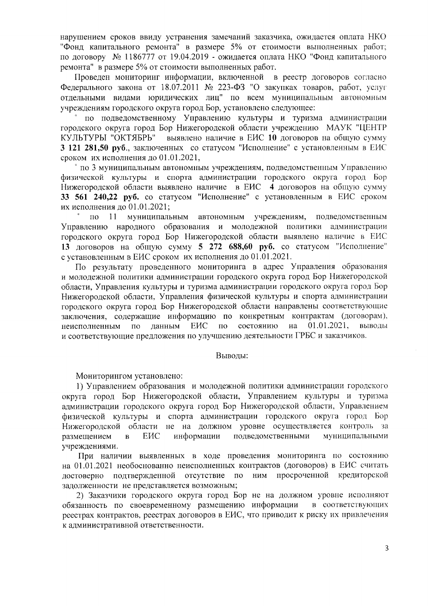нарушением сроков ввиду устранения замечаний заказчика, ожидается оплата НКО "Фонд капитального ремонта" в размере 5% от стоимости выполненных работ; по договору № 1186777 от 19.04.2019 - ожидается оплата НКО "Фонд капитального ремонта" в размере 5% от стоимости выполненных работ.

Проведен мониторинг информации, включенной в реестр договоров согласно Федерального закона от 18.07.2011 № 223-ФЗ "О закупках товаров, работ, услуг отдельными видами юридических лиц" по всем муниципальным автономным учреждениям городского округа город Бор, установлено следующее:

по подведомственному Управлению культуры и туризма администрации городского округа город Бор Нижегородской области учреждению МАУК "ЦЕНТР выявлено наличие в ЕИС 10 договоров на общую сумму КУЛЬТУРЫ "ОКТЯБРЬ" 3 121 281.50 руб., заключенных со статусом "Исполнение" с установленным в ЕИС сроком их исполнения до 01.01.2021.

 $\degree$  по 3 муниципальным автономным учреждениям, подведомственным Управлению физической культуры и спорта администрации городского округа город Бор Нижегородской области выявлено наличие в ЕИС 4 договоров на общую сумму 33 561 240,22 руб. со статусом "Исполнение" с установленным в ЕИС сроком их исполнения до 01.01.2021;

 $\overline{a}$   $\overline{a}$   $\overline{a}$   $\overline{a}$   $\overline{a}$   $\overline{a}$   $\overline{a}$   $\overline{a}$   $\overline{a}$   $\overline{a}$   $\overline{a}$   $\overline{a}$   $\overline{a}$   $\overline{a}$   $\overline{a}$   $\overline{a}$   $\overline{a}$   $\overline{a}$   $\overline{a}$   $\overline{a}$   $\overline{a}$   $\overline{a}$   $\overline{a}$   $\overline{a}$   $\overline{$ муниципальным автономным учреждениям, подведомственным Управлению народного образования и молодежной политики администрации городского округа город Бор Нижегородской области выявлено наличие в ЕИС 13 договоров на общую сумму 5 272 688,60 руб. со статусом "Исполнение" с установленным в ЕИС сроком их исполнения до 01.01.2021.

По результату проведенного мониторинга в адрес Управления образования и молодежной политики администрации городского округа город Бор Нижегородской области, Управления культуры и туризма администрации городского округа город Бор Нижегородской области, Управления физической культуры и спорта администрации городского округа город Бор Нижегородской области направлены соответствующие заключения, содержащие информацию по конкретным контрактам (договорам), неисполненным  $\overline{a}$ данным ENC по состоянию на 01.01.2021. выводы и соответствующие предложения по улучшению деятельности ГРБС и заказчиков.

## Выводы:

Мониторингом установлено:

1) Управлением образования и молодежной политики администрации городского округа город Бор Нижегородской области, Управлением культуры и туризма администрации городского округа город Бор Нижегородской области. Управлением физической культуры и спорта администрации городского округа город Бор Нижегородской области не на должном уровне осуществляется контроль за ЕИС информации подведомственными муниципальными размещением  $\, {\bf B}$ учреждениями.

При наличии выявленных в ходе проведения мониторинга по состоянию на 01.01.2021 необоснованно неисполненных контрактов (договоров) в ЕИС считать достоверно подтвержденной отсутствие по ним просроченной кредиторской задолженности не представляется возможным;

2) Заказчики городского округа город Бор не на должном уровне исполняют обязанность по своевременному размещению информации в соответствующих реестрах контрактов, реестрах договоров в ЕИС, что приводит к риску их привлечения к административной ответственности.